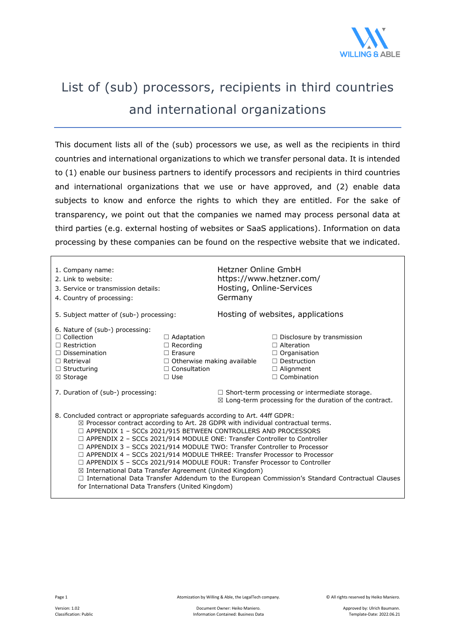

## List of (sub) processors, recipients in third countries and international organizations

This document lists all of the (sub) processors we use, as well as the recipients in third countries and international organizations to which we transfer personal data. It is intended to (1) enable our business partners to identify processors and recipients in third countries and international organizations that we use or have approved, and (2) enable data subjects to know and enforce the rights to which they are entitled. For the sake of transparency, we point out that the companies we named may process personal data at third parties (e.g. external hosting of websites or SaaS applications). Information on data processing by these companies can be found on the respective website that we indicated.

| 1. Company name:<br>2. Link to website:<br>3. Service or transmission details:<br>4. Country of processing:                                                                                                                                                                                                                                                                                                                                                                                                                                                                                                                                                                                                                                                                                                                   |                                                                                                                                   | Hetzner Online GmbH<br>Hosting, Online-Services<br>Germany | https://www.hetzner.com/                                                                                                                      |  |
|-------------------------------------------------------------------------------------------------------------------------------------------------------------------------------------------------------------------------------------------------------------------------------------------------------------------------------------------------------------------------------------------------------------------------------------------------------------------------------------------------------------------------------------------------------------------------------------------------------------------------------------------------------------------------------------------------------------------------------------------------------------------------------------------------------------------------------|-----------------------------------------------------------------------------------------------------------------------------------|------------------------------------------------------------|-----------------------------------------------------------------------------------------------------------------------------------------------|--|
| 5. Subject matter of (sub-) processing:                                                                                                                                                                                                                                                                                                                                                                                                                                                                                                                                                                                                                                                                                                                                                                                       |                                                                                                                                   | Hosting of websites, applications                          |                                                                                                                                               |  |
| 6. Nature of (sub-) processing:<br>$\Box$ Collection<br>$\Box$ Restriction<br>$\Box$ Dissemination<br>$\Box$ Retrieval<br>$\Box$ Structuring<br>⊠ Storage                                                                                                                                                                                                                                                                                                                                                                                                                                                                                                                                                                                                                                                                     | $\Box$ Adaptation<br>$\Box$ Recording<br>$\Box$ Erasure<br>$\Box$ Otherwise making available<br>$\Box$ Consultation<br>$\Box$ Use |                                                            | $\Box$ Disclosure by transmission<br>$\Box$ Alteration<br>$\Box$ Organisation<br>$\Box$ Destruction<br>$\Box$ Alignment<br>$\Box$ Combination |  |
| 7. Duration of (sub-) processing:                                                                                                                                                                                                                                                                                                                                                                                                                                                                                                                                                                                                                                                                                                                                                                                             |                                                                                                                                   |                                                            | $\Box$ Short-term processing or intermediate storage.<br>$\boxtimes$ Long-term processing for the duration of the contract.                   |  |
| 8. Concluded contract or appropriate safeguards according to Art. 44ff GDPR:<br>$\boxtimes$ Processor contract according to Art. 28 GDPR with individual contractual terms.<br>$\Box$ APPENDIX 1 - SCCs 2021/915 BETWEEN CONTROLLERS AND PROCESSORS<br>$\Box$ APPENDIX 2 - SCCs 2021/914 MODULE ONE: Transfer Controller to Controller<br>$\Box$ APPENDIX 3 – SCCs 2021/914 MODULE TWO: Transfer Controller to Processor<br>$\Box$ APPENDIX 4 - SCCs 2021/914 MODULE THREE: Transfer Processor to Processor<br>$\Box$ APPENDIX 5 - SCCs 2021/914 MODULE FOUR: Transfer Processor to Controller<br>$\boxtimes$ International Data Transfer Agreement (United Kingdom)<br>□ International Data Transfer Addendum to the European Commission's Standard Contractual Clauses<br>for International Data Transfers (United Kingdom) |                                                                                                                                   |                                                            |                                                                                                                                               |  |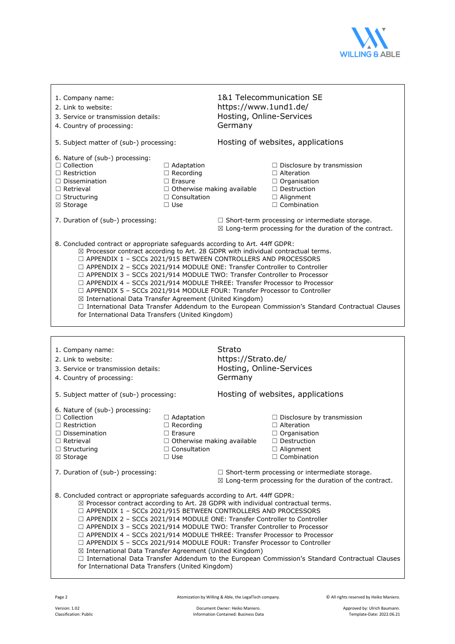

| 1. Company name:<br>2. Link to website:<br>3. Service or transmission details:<br>4. Country of processing:                                                                                                                                                                                                                                                                                                                                                                                                                                                                                                                                                                                                                                                                                                    |                                                                                                                                   | 1&1 Telecommunication SE<br>https://www.1und1.de/<br>Hosting, Online-Services<br>Germany |                                                                                                                                               |  |
|----------------------------------------------------------------------------------------------------------------------------------------------------------------------------------------------------------------------------------------------------------------------------------------------------------------------------------------------------------------------------------------------------------------------------------------------------------------------------------------------------------------------------------------------------------------------------------------------------------------------------------------------------------------------------------------------------------------------------------------------------------------------------------------------------------------|-----------------------------------------------------------------------------------------------------------------------------------|------------------------------------------------------------------------------------------|-----------------------------------------------------------------------------------------------------------------------------------------------|--|
| 5. Subject matter of (sub-) processing:                                                                                                                                                                                                                                                                                                                                                                                                                                                                                                                                                                                                                                                                                                                                                                        |                                                                                                                                   | Hosting of websites, applications                                                        |                                                                                                                                               |  |
| 6. Nature of (sub-) processing:<br>$\Box$ Collection<br>$\Box$ Restriction<br>$\Box$ Dissemination<br>$\Box$ Retrieval<br>$\Box$ Structuring<br>⊠ Storage                                                                                                                                                                                                                                                                                                                                                                                                                                                                                                                                                                                                                                                      | $\Box$ Adaptation<br>$\Box$ Recording<br>$\Box$ Erasure<br>$\Box$ Otherwise making available<br>$\Box$ Consultation<br>$\Box$ Use |                                                                                          | $\Box$ Disclosure by transmission<br>$\Box$ Alteration<br>$\Box$ Organisation<br>$\Box$ Destruction<br>$\Box$ Alignment<br>$\Box$ Combination |  |
| 7. Duration of (sub-) processing:                                                                                                                                                                                                                                                                                                                                                                                                                                                                                                                                                                                                                                                                                                                                                                              |                                                                                                                                   |                                                                                          | $\Box$ Short-term processing or intermediate storage.<br>$\boxtimes$ Long-term processing for the duration of the contract.                   |  |
| 8. Concluded contract or appropriate safeguards according to Art. 44ff GDPR:<br>$\boxtimes$ Processor contract according to Art. 28 GDPR with individual contractual terms.<br>$\Box$ APPENDIX 1 - SCCs 2021/915 BETWEEN CONTROLLERS AND PROCESSORS<br>$\Box$ APPENDIX 2 - SCCs 2021/914 MODULE ONE: Transfer Controller to Controller<br>$\Box$ APPENDIX 3 - SCCs 2021/914 MODULE TWO: Transfer Controller to Processor<br>$\Box$ APPENDIX 4 - SCCs 2021/914 MODULE THREE: Transfer Processor to Processor<br>□ APPENDIX 5 - SCCs 2021/914 MODULE FOUR: Transfer Processor to Controller<br>⊠ International Data Transfer Agreement (United Kingdom)<br>□ International Data Transfer Addendum to the European Commission's Standard Contractual Clauses<br>for International Data Transfers (United Kingdom) |                                                                                                                                   |                                                                                          |                                                                                                                                               |  |
|                                                                                                                                                                                                                                                                                                                                                                                                                                                                                                                                                                                                                                                                                                                                                                                                                |                                                                                                                                   |                                                                                          |                                                                                                                                               |  |
| 1. Company name:                                                                                                                                                                                                                                                                                                                                                                                                                                                                                                                                                                                                                                                                                                                                                                                               |                                                                                                                                   |                                                                                          |                                                                                                                                               |  |
| 2. Link to website:<br>3. Service or transmission details:<br>4. Country of processing:                                                                                                                                                                                                                                                                                                                                                                                                                                                                                                                                                                                                                                                                                                                        |                                                                                                                                   | Strato<br>https://Strato.de/<br>Hosting, Online-Services<br>Germany                      |                                                                                                                                               |  |
| 5. Subject matter of (sub-) processing:                                                                                                                                                                                                                                                                                                                                                                                                                                                                                                                                                                                                                                                                                                                                                                        |                                                                                                                                   |                                                                                          | Hosting of websites, applications                                                                                                             |  |
| 6. Nature of (sub-) processing:<br>$\Box$ Collection<br>$\Box$ Restriction<br>$\Box$ Dissemination<br>$\Box$ Retrieval<br>$\Box$ Structuring<br>$\boxtimes$ Storage                                                                                                                                                                                                                                                                                                                                                                                                                                                                                                                                                                                                                                            | $\Box$ Adaptation<br>$\Box$ Recording<br>$\Box$ Erasure<br>$\Box$ Otherwise making available<br>$\Box$ Consultation<br>$\Box$ Use |                                                                                          | $\Box$ Disclosure by transmission<br>$\Box$ Alteration<br>$\Box$ Organisation<br>$\Box$ Destruction<br>$\Box$ Alignment<br>$\Box$ Combination |  |
| 7. Duration of (sub-) processing:                                                                                                                                                                                                                                                                                                                                                                                                                                                                                                                                                                                                                                                                                                                                                                              |                                                                                                                                   |                                                                                          | $\Box$ Short-term processing or intermediate storage.<br>$\boxtimes$ Long-term processing for the duration of the contract.                   |  |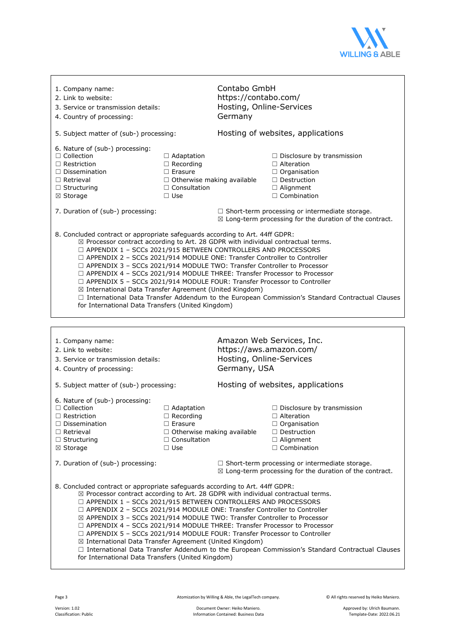

| 1. Company name:<br>2. Link to website:<br>3. Service or transmission details:<br>4. Country of processing:                                                                                                                                                                                                                                                                                                                                                                                                                                                                                                                                                                                                                                                                                                    |                                                                                                                                   | Contabo GmbH<br>https://contabo.com/<br>Hosting, Online-Services<br>Germany |                                                                                                                                               |  |
|----------------------------------------------------------------------------------------------------------------------------------------------------------------------------------------------------------------------------------------------------------------------------------------------------------------------------------------------------------------------------------------------------------------------------------------------------------------------------------------------------------------------------------------------------------------------------------------------------------------------------------------------------------------------------------------------------------------------------------------------------------------------------------------------------------------|-----------------------------------------------------------------------------------------------------------------------------------|-----------------------------------------------------------------------------|-----------------------------------------------------------------------------------------------------------------------------------------------|--|
| 5. Subject matter of (sub-) processing:                                                                                                                                                                                                                                                                                                                                                                                                                                                                                                                                                                                                                                                                                                                                                                        |                                                                                                                                   | Hosting of websites, applications                                           |                                                                                                                                               |  |
| 6. Nature of (sub-) processing:<br>$\Box$ Collection<br>$\Box$ Restriction<br>$\Box$ Dissemination<br>$\Box$ Retrieval<br>$\Box$ Structuring<br>⊠ Storage                                                                                                                                                                                                                                                                                                                                                                                                                                                                                                                                                                                                                                                      | $\Box$ Adaptation<br>$\Box$ Recording<br>$\Box$ Erasure<br>$\Box$ Otherwise making available<br>$\Box$ Consultation<br>$\Box$ Use |                                                                             | $\Box$ Disclosure by transmission<br>$\Box$ Alteration<br>$\Box$ Organisation<br>$\Box$ Destruction<br>□ Alignment<br>$\Box$ Combination      |  |
| 7. Duration of (sub-) processing:                                                                                                                                                                                                                                                                                                                                                                                                                                                                                                                                                                                                                                                                                                                                                                              |                                                                                                                                   |                                                                             | $\Box$ Short-term processing or intermediate storage.<br>$\boxtimes$ Long-term processing for the duration of the contract.                   |  |
| 8. Concluded contract or appropriate safeguards according to Art. 44ff GDPR:<br>$\boxtimes$ Processor contract according to Art. 28 GDPR with individual contractual terms.<br>$\Box$ APPENDIX 1 - SCCs 2021/915 BETWEEN CONTROLLERS AND PROCESSORS<br>$\Box$ APPENDIX 2 - SCCs 2021/914 MODULE ONE: Transfer Controller to Controller<br>$\Box$ APPENDIX 3 - SCCs 2021/914 MODULE TWO: Transfer Controller to Processor<br>$\Box$ APPENDIX 4 - SCCs 2021/914 MODULE THREE: Transfer Processor to Processor<br>□ APPENDIX 5 - SCCs 2021/914 MODULE FOUR: Transfer Processor to Controller<br>⊠ International Data Transfer Agreement (United Kingdom)<br>□ International Data Transfer Addendum to the European Commission's Standard Contractual Clauses<br>for International Data Transfers (United Kingdom) |                                                                                                                                   |                                                                             |                                                                                                                                               |  |
|                                                                                                                                                                                                                                                                                                                                                                                                                                                                                                                                                                                                                                                                                                                                                                                                                |                                                                                                                                   |                                                                             |                                                                                                                                               |  |
|                                                                                                                                                                                                                                                                                                                                                                                                                                                                                                                                                                                                                                                                                                                                                                                                                |                                                                                                                                   |                                                                             |                                                                                                                                               |  |
| 1. Company name:<br>2. Link to website:<br>3. Service or transmission details:<br>4. Country of processing:                                                                                                                                                                                                                                                                                                                                                                                                                                                                                                                                                                                                                                                                                                    |                                                                                                                                   | Hosting, Online-Services<br>Germany, USA                                    | Amazon Web Services, Inc.<br>https://aws.amazon.com/                                                                                          |  |
| 5. Subject matter of (sub-) processing:                                                                                                                                                                                                                                                                                                                                                                                                                                                                                                                                                                                                                                                                                                                                                                        |                                                                                                                                   |                                                                             | Hosting of websites, applications                                                                                                             |  |
| 6. Nature of (sub-) processing:<br>$\Box$ Collection<br>$\Box$ Restriction<br>$\Box$ Dissemination<br>$\Box$ Retrieval<br>$\Box$ Structuring<br>⊠ Storage                                                                                                                                                                                                                                                                                                                                                                                                                                                                                                                                                                                                                                                      | $\Box$ Adaptation<br>$\Box$ Recording<br>$\Box$ Erasure<br>$\Box$ Otherwise making available<br>$\Box$ Consultation<br>$\Box$ Use |                                                                             | $\Box$ Disclosure by transmission<br>$\Box$ Alteration<br>$\Box$ Organisation<br>$\Box$ Destruction<br>$\Box$ Alignment<br>$\Box$ Combination |  |
| 7. Duration of (sub-) processing:                                                                                                                                                                                                                                                                                                                                                                                                                                                                                                                                                                                                                                                                                                                                                                              |                                                                                                                                   |                                                                             | $\Box$ Short-term processing or intermediate storage.<br>$\boxtimes$ Long-term processing for the duration of the contract.                   |  |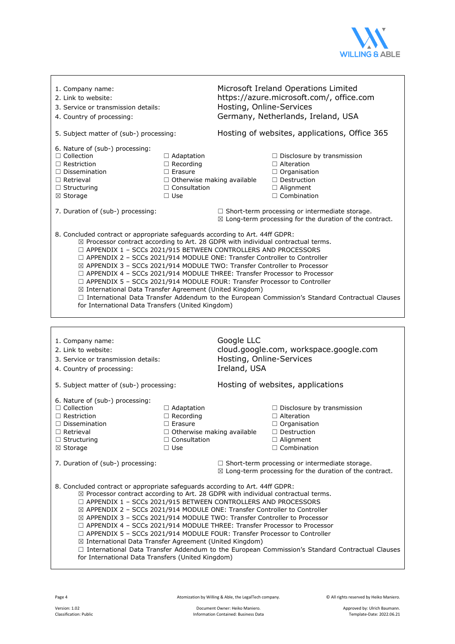

| 1. Company name:<br>2. Link to website:<br>3. Service or transmission details:<br>4. Country of processing:                                                                                                                                                                                                                                                                                                                                                                                                                                                                                                                                                                                                                                                                                               |                                                                                                                                   | Microsoft Ireland Operations Limited<br>https://azure.microsoft.com/, office.com<br>Hosting, Online-Services<br>Germany, Netherlands, Ireland, USA |                                                                                                                                               |  |
|-----------------------------------------------------------------------------------------------------------------------------------------------------------------------------------------------------------------------------------------------------------------------------------------------------------------------------------------------------------------------------------------------------------------------------------------------------------------------------------------------------------------------------------------------------------------------------------------------------------------------------------------------------------------------------------------------------------------------------------------------------------------------------------------------------------|-----------------------------------------------------------------------------------------------------------------------------------|----------------------------------------------------------------------------------------------------------------------------------------------------|-----------------------------------------------------------------------------------------------------------------------------------------------|--|
| 5. Subject matter of (sub-) processing:                                                                                                                                                                                                                                                                                                                                                                                                                                                                                                                                                                                                                                                                                                                                                                   |                                                                                                                                   | Hosting of websites, applications, Office 365                                                                                                      |                                                                                                                                               |  |
| 6. Nature of (sub-) processing:<br>$\Box$ Collection<br>$\Box$ Restriction<br>$\Box$ Dissemination<br>$\Box$ Retrieval<br>$\Box$ Structuring<br>⊠ Storage                                                                                                                                                                                                                                                                                                                                                                                                                                                                                                                                                                                                                                                 | $\Box$ Adaptation<br>$\Box$ Recording<br>$\Box$ Erasure<br>$\Box$ Otherwise making available<br>$\Box$ Consultation<br>$\Box$ Use |                                                                                                                                                    | $\Box$ Disclosure by transmission<br>$\Box$ Alteration<br>$\Box$ Organisation<br>$\Box$ Destruction<br>□ Alignment<br>$\Box$ Combination      |  |
| 7. Duration of (sub-) processing:                                                                                                                                                                                                                                                                                                                                                                                                                                                                                                                                                                                                                                                                                                                                                                         |                                                                                                                                   |                                                                                                                                                    | $\Box$ Short-term processing or intermediate storage.<br>$\boxtimes$ Long-term processing for the duration of the contract.                   |  |
| 8. Concluded contract or appropriate safeguards according to Art. 44ff GDPR:<br>$\boxtimes$ Processor contract according to Art. 28 GDPR with individual contractual terms.<br>$\Box$ APPENDIX 1 - SCCs 2021/915 BETWEEN CONTROLLERS AND PROCESSORS<br>$\Box$ APPENDIX 2 - SCCs 2021/914 MODULE ONE: Transfer Controller to Controller<br>⊠ APPENDIX 3 - SCCs 2021/914 MODULE TWO: Transfer Controller to Processor<br>$\Box$ APPENDIX 4 - SCCs 2021/914 MODULE THREE: Transfer Processor to Processor<br>□ APPENDIX 5 - SCCs 2021/914 MODULE FOUR: Transfer Processor to Controller<br>⊠ International Data Transfer Agreement (United Kingdom)<br>□ International Data Transfer Addendum to the European Commission's Standard Contractual Clauses<br>for International Data Transfers (United Kingdom) |                                                                                                                                   |                                                                                                                                                    |                                                                                                                                               |  |
|                                                                                                                                                                                                                                                                                                                                                                                                                                                                                                                                                                                                                                                                                                                                                                                                           |                                                                                                                                   |                                                                                                                                                    |                                                                                                                                               |  |
|                                                                                                                                                                                                                                                                                                                                                                                                                                                                                                                                                                                                                                                                                                                                                                                                           |                                                                                                                                   |                                                                                                                                                    |                                                                                                                                               |  |
| 1. Company name:<br>2. Link to website:<br>3. Service or transmission details:<br>4. Country of processing:                                                                                                                                                                                                                                                                                                                                                                                                                                                                                                                                                                                                                                                                                               |                                                                                                                                   | Google LLC<br>Hosting, Online-Services<br>Ireland, USA                                                                                             | cloud.google.com, workspace.google.com                                                                                                        |  |
| 5. Subject matter of (sub-) processing:                                                                                                                                                                                                                                                                                                                                                                                                                                                                                                                                                                                                                                                                                                                                                                   |                                                                                                                                   |                                                                                                                                                    | Hosting of websites, applications                                                                                                             |  |
| 6. Nature of (sub-) processing:<br>$\Box$ Collection<br>$\Box$ Restriction<br>$\Box$ Dissemination<br>$\Box$ Retrieval<br>$\Box$ Structuring<br>$\boxtimes$ Storage                                                                                                                                                                                                                                                                                                                                                                                                                                                                                                                                                                                                                                       | □ Adaptation<br>$\Box$ Recording<br>$\Box$ Erasure<br>$\Box$ Otherwise making available<br>$\Box$ Consultation<br>$\Box$ Use      |                                                                                                                                                    | $\Box$ Disclosure by transmission<br>$\Box$ Alteration<br>$\Box$ Organisation<br>$\Box$ Destruction<br>$\Box$ Alignment<br>$\Box$ Combination |  |
| 7. Duration of (sub-) processing:                                                                                                                                                                                                                                                                                                                                                                                                                                                                                                                                                                                                                                                                                                                                                                         |                                                                                                                                   |                                                                                                                                                    | $\Box$ Short-term processing or intermediate storage.<br>$\boxtimes$ Long-term processing for the duration of the contract.                   |  |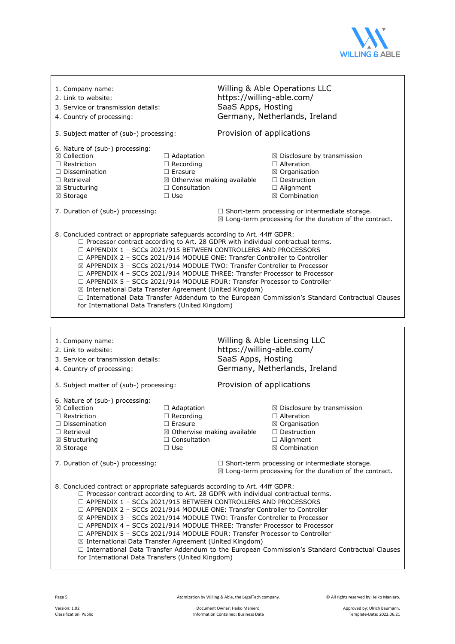

| 1. Company name:<br>2. Link to website:<br>3. Service or transmission details:<br>4. Country of processing:                                                                                                                                                                                                                                                                                                                                                                                                                                                                                                                                                                                                                                                                                               |                                                                                                                                        | Willing & Able Operations LLC<br>https://willing-able.com/<br>SaaS Apps, Hosting<br>Germany, Netherlands, Ireland |                                                                                                                                                              |  |
|-----------------------------------------------------------------------------------------------------------------------------------------------------------------------------------------------------------------------------------------------------------------------------------------------------------------------------------------------------------------------------------------------------------------------------------------------------------------------------------------------------------------------------------------------------------------------------------------------------------------------------------------------------------------------------------------------------------------------------------------------------------------------------------------------------------|----------------------------------------------------------------------------------------------------------------------------------------|-------------------------------------------------------------------------------------------------------------------|--------------------------------------------------------------------------------------------------------------------------------------------------------------|--|
| 5. Subject matter of (sub-) processing:                                                                                                                                                                                                                                                                                                                                                                                                                                                                                                                                                                                                                                                                                                                                                                   |                                                                                                                                        | Provision of applications                                                                                         |                                                                                                                                                              |  |
| 6. Nature of (sub-) processing:<br>$\boxtimes$ Collection<br>$\Box$ Restriction<br>$\Box$ Dissemination<br>$\Box$ Retrieval<br>$\boxtimes$ Structuring<br>⊠ Storage                                                                                                                                                                                                                                                                                                                                                                                                                                                                                                                                                                                                                                       | $\Box$ Adaptation<br>$\Box$ Recording<br>$\Box$ Erasure<br>$\Box$ Consultation<br>$\Box$ Use                                           | ⊠ Otherwise making available                                                                                      | $\boxtimes$ Disclosure by transmission<br>$\Box$ Alteration<br>$\boxtimes$ Organisation<br>$\Box$ Destruction<br>$\Box$ Alignment<br>$\boxtimes$ Combination |  |
| 7. Duration of (sub-) processing:                                                                                                                                                                                                                                                                                                                                                                                                                                                                                                                                                                                                                                                                                                                                                                         |                                                                                                                                        |                                                                                                                   | $\Box$ Short-term processing or intermediate storage.<br>$\boxtimes$ Long-term processing for the duration of the contract.                                  |  |
| 8. Concluded contract or appropriate safeguards according to Art. 44ff GDPR:<br>$\Box$ Processor contract according to Art. 28 GDPR with individual contractual terms.<br>$\Box$ APPENDIX 1 - SCCs 2021/915 BETWEEN CONTROLLERS AND PROCESSORS<br>$\Box$ APPENDIX 2 - SCCs 2021/914 MODULE ONE: Transfer Controller to Controller<br>⊠ APPENDIX 3 - SCCs 2021/914 MODULE TWO: Transfer Controller to Processor<br>$\Box$ APPENDIX 4 - SCCs 2021/914 MODULE THREE: Transfer Processor to Processor<br>$\Box$ APPENDIX 5 - SCCs 2021/914 MODULE FOUR: Transfer Processor to Controller<br>⊠ International Data Transfer Agreement (United Kingdom)<br>□ International Data Transfer Addendum to the European Commission's Standard Contractual Clauses<br>for International Data Transfers (United Kingdom) |                                                                                                                                        |                                                                                                                   |                                                                                                                                                              |  |
|                                                                                                                                                                                                                                                                                                                                                                                                                                                                                                                                                                                                                                                                                                                                                                                                           |                                                                                                                                        |                                                                                                                   |                                                                                                                                                              |  |
|                                                                                                                                                                                                                                                                                                                                                                                                                                                                                                                                                                                                                                                                                                                                                                                                           |                                                                                                                                        |                                                                                                                   |                                                                                                                                                              |  |
| 1. Company name:<br>2. Link to website:<br>3. Service or transmission details:<br>4. Country of processing:                                                                                                                                                                                                                                                                                                                                                                                                                                                                                                                                                                                                                                                                                               |                                                                                                                                        | https://willing-able.com/<br>SaaS Apps, Hosting                                                                   | Willing & Able Licensing LLC<br>Germany, Netherlands, Ireland                                                                                                |  |
| 5. Subject matter of (sub-) processing:                                                                                                                                                                                                                                                                                                                                                                                                                                                                                                                                                                                                                                                                                                                                                                   |                                                                                                                                        | Provision of applications                                                                                         |                                                                                                                                                              |  |
| 6. Nature of (sub-) processing:<br>⊠ Collection<br>$\Box$ Restriction<br>$\Box$ Dissemination<br>$\Box$ Retrieval<br>$\boxtimes$ Structuring<br>⊠ Storage                                                                                                                                                                                                                                                                                                                                                                                                                                                                                                                                                                                                                                                 | $\Box$ Adaptation<br>$\Box$ Recording<br>$\Box$ Erasure<br>$\boxtimes$ Otherwise making available<br>$\Box$ Consultation<br>$\Box$ Use |                                                                                                                   | $\boxtimes$ Disclosure by transmission<br>$\Box$ Alteration<br>⊠ Organisation<br>$\Box$ Destruction<br>$\Box$ Alignment<br>$\boxtimes$ Combination           |  |
| 7. Duration of (sub-) processing:                                                                                                                                                                                                                                                                                                                                                                                                                                                                                                                                                                                                                                                                                                                                                                         |                                                                                                                                        |                                                                                                                   | $\Box$ Short-term processing or intermediate storage.<br>$\boxtimes$ Long-term processing for the duration of the contract.                                  |  |